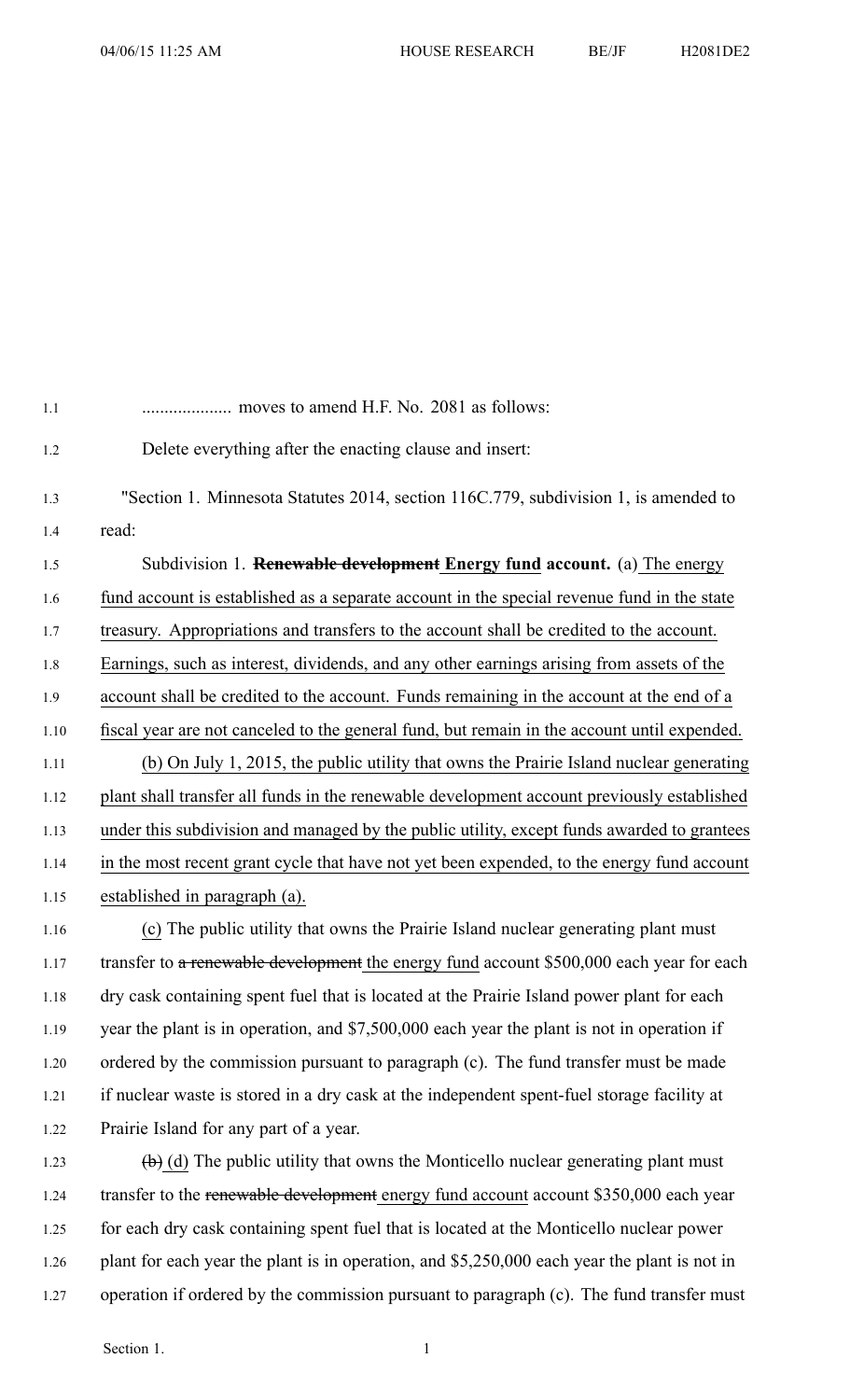| 1.1  |                                                                                                          |
|------|----------------------------------------------------------------------------------------------------------|
| 1.2  | Delete everything after the enacting clause and insert:                                                  |
| 1.3  | "Section 1. Minnesota Statutes 2014, section 116C.779, subdivision 1, is amended to                      |
| 1.4  | read:                                                                                                    |
| 1.5  | Subdivision 1. <b>Renewable development Energy fund account.</b> (a) The energy                          |
| 1.6  | fund account is established as a separate account in the special revenue fund in the state               |
| 1.7  | treasury. Appropriations and transfers to the account shall be credited to the account.                  |
| 1.8  | Earnings, such as interest, dividends, and any other earnings arising from assets of the                 |
| 1.9  | account shall be credited to the account. Funds remaining in the account at the end of a                 |
| 1.10 | fiscal year are not canceled to the general fund, but remain in the account until expended.              |
| 1.11 | (b) On July 1, 2015, the public utility that owns the Prairie Island nuclear generating                  |
| 1.12 | plant shall transfer all funds in the renewable development account previously established               |
| 1.13 | under this subdivision and managed by the public utility, except funds awarded to grantees               |
| 1.14 | in the most recent grant cycle that have not yet been expended, to the energy fund account               |
| 1.15 | established in paragraph (a).                                                                            |
| 1.16 | (c) The public utility that owns the Prairie Island nuclear generating plant must                        |
| 1.17 | transfer to a renewable development the energy fund account \$500,000 each year for each                 |
| 1.18 | dry cask containing spent fuel that is located at the Prairie Island power plant for each                |
| 1.19 | year the plant is in operation, and \$7,500,000 each year the plant is not in operation if               |
| 1.20 | ordered by the commission pursuant to paragraph (c). The fund transfer must be made                      |
| 1.21 | if nuclear waste is stored in a dry cask at the independent spent-fuel storage facility at               |
| 1.22 | Prairie Island for any part of a year.                                                                   |
| 1.23 | $\left(\frac{1}{2}\right)$ (d) The public utility that owns the Monticello nuclear generating plant must |
| 1.24 | transfer to the renewable development energy fund account account \$350,000 each year                    |

- 1.25 for each dry cask containing spen<sup>t</sup> fuel that is located at the Monticello nuclear power 1.26 plant for each year the plant is in operation, and \$5,250,000 each year the plant is not in
- 1.27 operation if ordered by the commission pursuant to paragraph (c). The fund transfer must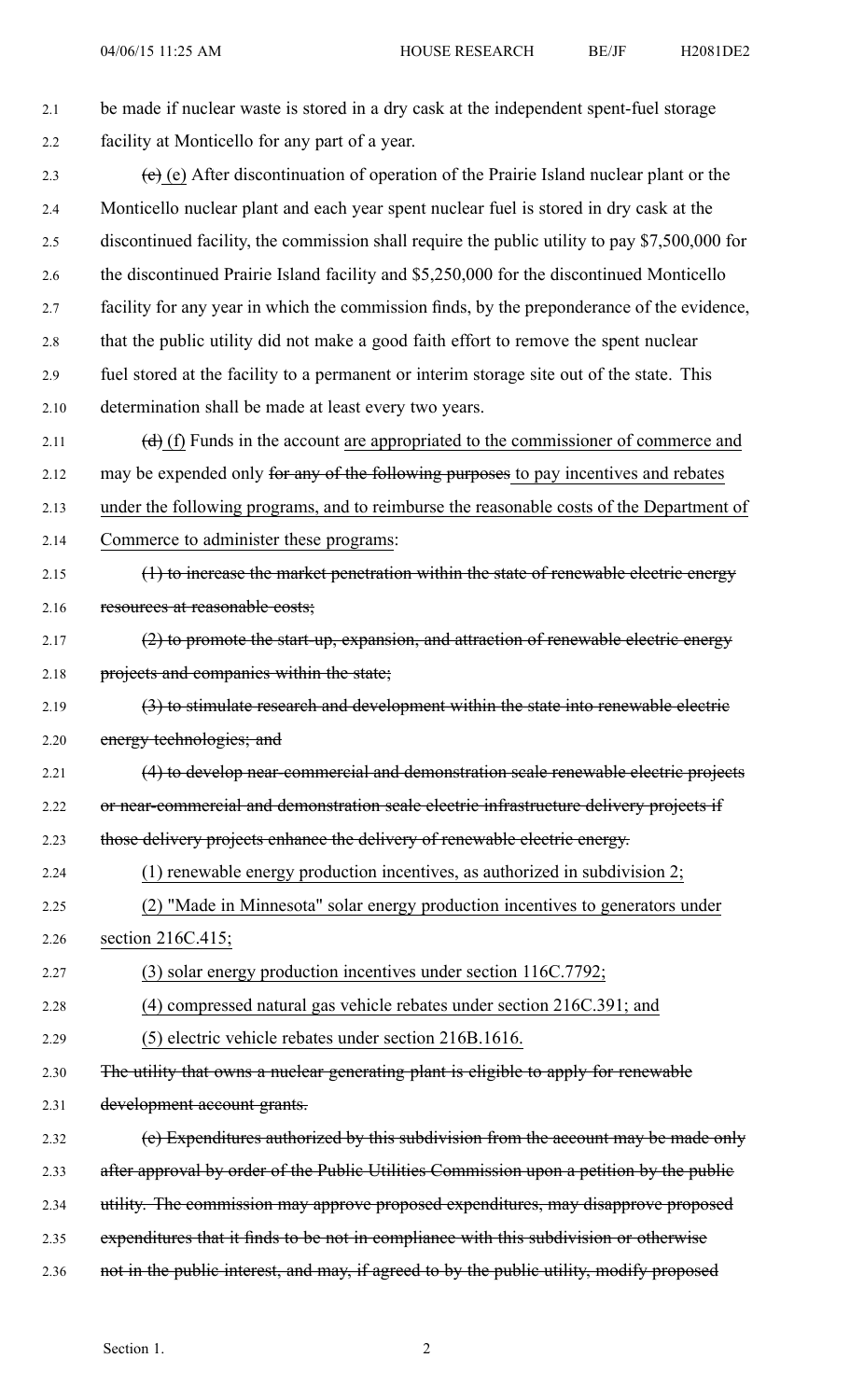| 2.1  | be made if nuclear waste is stored in a dry cask at the independent spent-fuel storage        |
|------|-----------------------------------------------------------------------------------------------|
| 2.2  | facility at Monticello for any part of a year.                                                |
| 2.3  | (e) (e) After discontinuation of operation of the Prairie Island nuclear plant or the         |
| 2.4  | Monticello nuclear plant and each year spent nuclear fuel is stored in dry cask at the        |
| 2.5  | discontinued facility, the commission shall require the public utility to pay \$7,500,000 for |
| 2.6  | the discontinued Prairie Island facility and \$5,250,000 for the discontinued Monticello      |
| 2.7  | facility for any year in which the commission finds, by the preponderance of the evidence,    |
| 2.8  | that the public utility did not make a good faith effort to remove the spent nuclear          |
| 2.9  | fuel stored at the facility to a permanent or interim storage site out of the state. This     |
| 2.10 | determination shall be made at least every two years.                                         |
| 2.11 | $(d)$ (f) Funds in the account are appropriated to the commissioner of commerce and           |
| 2.12 | may be expended only for any of the following purposes to pay incentives and rebates          |
| 2.13 | under the following programs, and to reimburse the reasonable costs of the Department of      |
| 2.14 | Commerce to administer these programs:                                                        |
| 2.15 | (1) to increase the market penetration within the state of renewable electric energy          |
| 2.16 | resources at reasonable costs;                                                                |
| 2.17 | (2) to promote the start-up, expansion, and attraction of renewable electric energy           |
| 2.18 | projects and companies within the state;                                                      |
| 2.19 | (3) to stimulate research and development within the state into renewable electric            |
| 2.20 | energy technologies; and                                                                      |
| 2.21 | (4) to develop near-commercial and demonstration scale renewable electric projects            |
| 2.22 | or near-commercial and demonstration scale electric infrastructure delivery projects if       |
| 2.23 | those delivery projects enhance the delivery of renewable electric energy.                    |
| 2.24 | (1) renewable energy production incentives, as authorized in subdivision $2$ ;                |
| 2.25 | (2) "Made in Minnesota" solar energy production incentives to generators under                |
| 2.26 | section 216C.415;                                                                             |
| 2.27 | (3) solar energy production incentives under section 116C.7792;                               |
| 2.28 | (4) compressed natural gas vehicle rebates under section 216C.391; and                        |
| 2.29 | (5) electric vehicle rebates under section 216B.1616.                                         |
| 2.30 | The utility that owns a nuclear generating plant is eligible to apply for renewable           |
| 2.31 | development account grants.                                                                   |
| 2.32 | (e) Expenditures authorized by this subdivision from the account may be made only             |
| 2.33 | after approval by order of the Public Utilities Commission upon a petition by the public      |
| 2.34 | utility. The commission may approve proposed expenditures, may disapprove proposed            |
| 2.35 | expenditures that it finds to be not in compliance with this subdivision or otherwise         |
| 2.36 | not in the public interest, and may, if agreed to by the public utility, modify proposed      |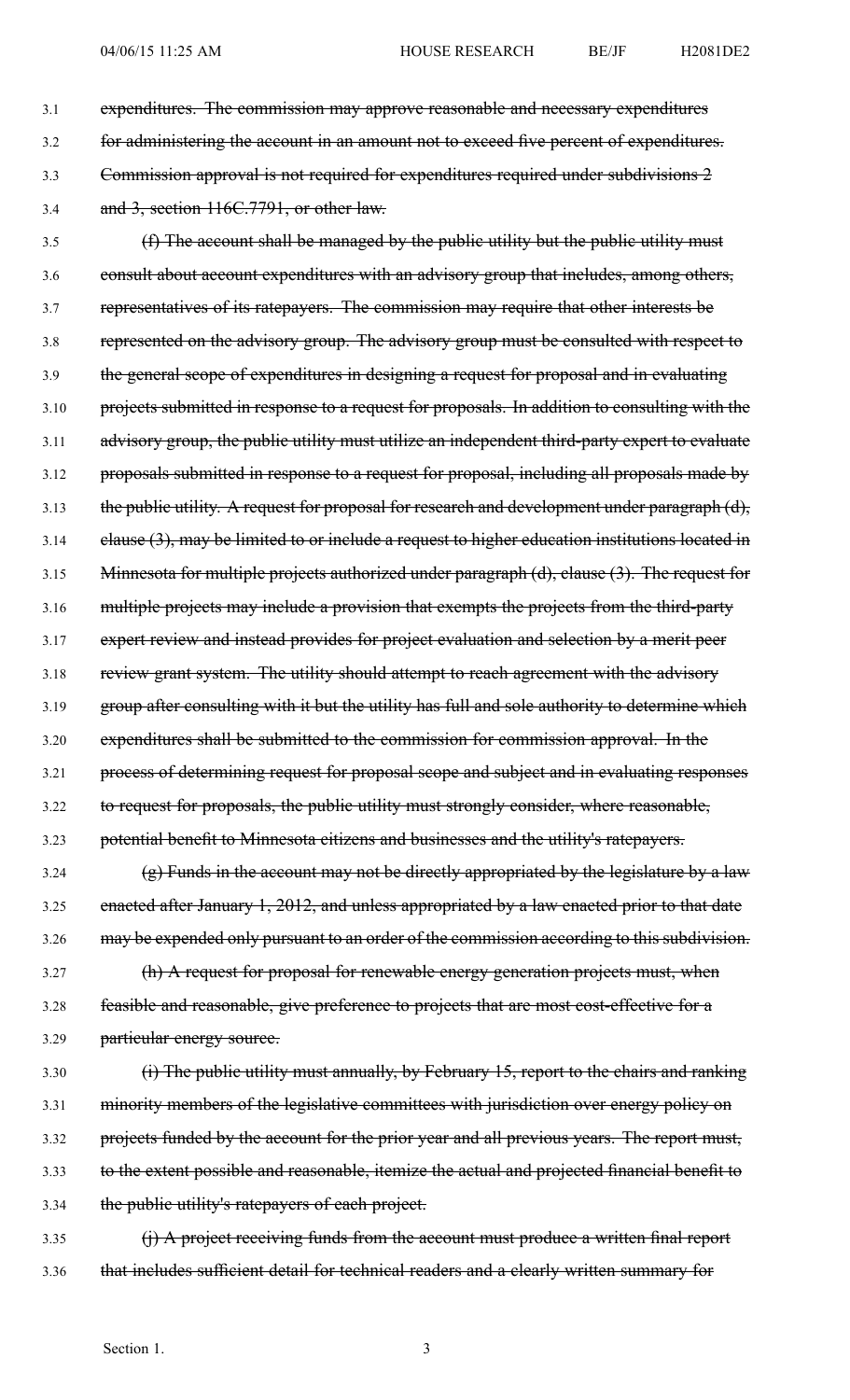3.1 expenditures. The commission may approve reasonable and necessary expenditures 3.2 for administering the account in an amount not to exceed five percen<sup>t</sup> of expenditures. 3.3 Commission approval is not required for expenditures required under subdivisions 2 3.4 and 3, section 116C.7791, or other law. 3.5 (f) The account shall be managed by the public utility but the public utility must 3.6 consult about account expenditures with an advisory group that includes, among others, 3.7 representatives of its ratepayers. The commission may require that other interests be 3.8 represented on the advisory group. The advisory group must be consulted with respec<sup>t</sup> to 3.9 the general scope of expenditures in designing <sup>a</sup> reques<sup>t</sup> for proposal and in evaluating 3.10 projects submitted in response to a request for proposals. In addition to consulting with the 3.11 advisory group, the public utility must utilize an independent third-party exper<sup>t</sup> to evaluate 3.12 proposals submitted in response to <sup>a</sup> reques<sup>t</sup> for proposal, including all proposals made by 3.13 the public utility. A request for proposal for research and development under paragraph (d), 3.14 clause (3), may be limited to or include a request to higher education institutions located in 3.15 Minnesota for multiple projects authorized under paragraph (d), clause (3). The reques<sup>t</sup> for 3.16 multiple projects may include <sup>a</sup> provision that exempts the projects from the third-party 3.17 exper<sup>t</sup> review and instead provides for project evaluation and selection by <sup>a</sup> merit peer

3.18 review grant system. The utility should attempt to reach agreement with the advisory

3.19 group after consulting with it but the utility has full and sole authority to determine which

3.20 expenditures shall be submitted to the commission for commission approval. In the

3.21 process of determining reques<sup>t</sup> for proposal scope and subject and in evaluating responses

3.22 to reques<sup>t</sup> for proposals, the public utility must strongly consider, where reasonable,

3.23 potential benefit to Minnesota citizens and businesses and the utility's ratepayers.

 $3.24$  (g) Funds in the account may not be directly appropriated by the legislature by a law 3.25 enacted after January 1, 2012, and unless appropriated by a law enacted prior to that date 3.26 may be expended only pursuant to an order of the commission according to this subdivision.

3.27 (h) A reques<sup>t</sup> for proposal for renewable energy generation projects must, when 3.28 feasible and reasonable, give preference to projects that are most cost-effective for <sup>a</sup> 3.29 particular energy source.

3.30 (i) The public utility must annually, by February 15, report to the chairs and ranking 3.31 minority members of the legislative committees with jurisdiction over energy policy on 3.32 projects funded by the account for the prior year and all previous years. The report must, 3.33 to the extent possible and reasonable, itemize the actual and projected financial benefit to 3.34 the public utility's ratepayers of each project.

3.35 (j) A project receiving funds from the account must produce a written final report 3.36 that includes sufficient detail for technical readers and <sup>a</sup> clearly written summary for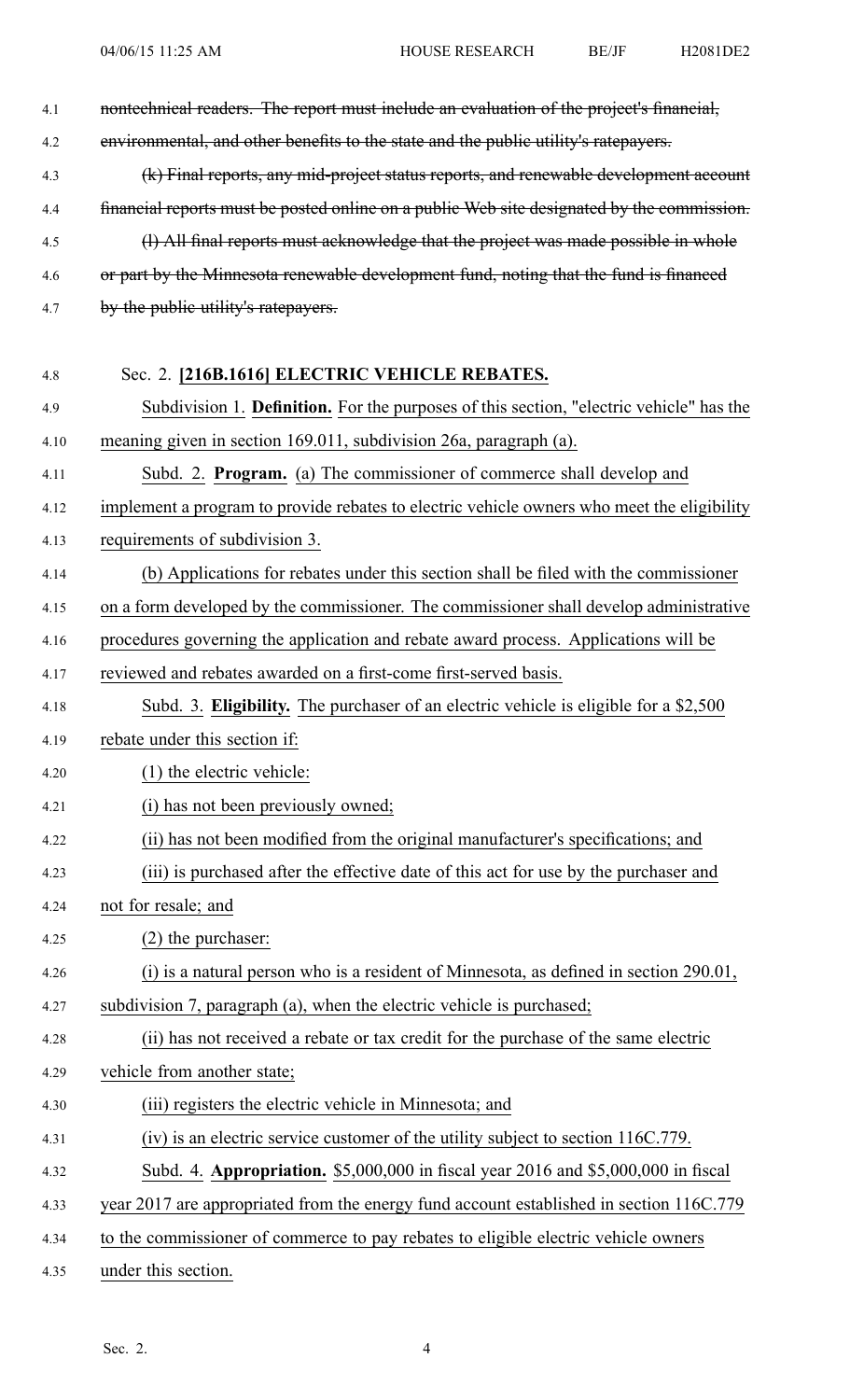| 4.1  | nontechnical readers. The report must include an evaluation of the project's financial,    |
|------|--------------------------------------------------------------------------------------------|
| 4.2  | environmental, and other benefits to the state and the public utility's ratepayers.        |
| 4.3  | (k) Final reports, any mid-project status reports, and renewable development account       |
| 4.4  | financial reports must be posted online on a public Web site designated by the commission. |
| 4.5  | (1) All final reports must acknowledge that the project was made possible in whole         |
| 4.6  | or part by the Minnesota renewable development fund, noting that the fund is financed      |
| 4.7  | by the public utility's ratepayers.                                                        |
|      |                                                                                            |
| 4.8  | Sec. 2. [216B.1616] ELECTRIC VEHICLE REBATES.                                              |
| 4.9  | Subdivision 1. Definition. For the purposes of this section, "electric vehicle" has the    |
| 4.10 | meaning given in section 169.011, subdivision 26a, paragraph (a).                          |
| 4.11 | Subd. 2. Program. (a) The commissioner of commerce shall develop and                       |
| 4.12 | implement a program to provide rebates to electric vehicle owners who meet the eligibility |
| 4.13 | requirements of subdivision 3.                                                             |
| 4.14 | (b) Applications for rebates under this section shall be filed with the commissioner       |
| 4.15 | on a form developed by the commissioner. The commissioner shall develop administrative     |
| 4.16 | procedures governing the application and rebate award process. Applications will be        |
| 4.17 | reviewed and rebates awarded on a first-come first-served basis.                           |
| 4.18 | Subd. 3. Eligibility. The purchaser of an electric vehicle is eligible for a \$2,500       |
| 4.19 | rebate under this section if:                                                              |
| 4.20 | $(1)$ the electric vehicle:                                                                |
| 4.21 | (i) has not been previously owned;                                                         |
| 4.22 | (ii) has not been modified from the original manufacturer's specifications; and            |
| 4.23 | (iii) is purchased after the effective date of this act for use by the purchaser and       |
| 4.24 | not for resale; and                                                                        |
| 4.25 | $(2)$ the purchaser:                                                                       |
| 4.26 | (i) is a natural person who is a resident of Minnesota, as defined in section 290.01,      |
| 4.27 | subdivision 7, paragraph (a), when the electric vehicle is purchased;                      |
| 4.28 | (ii) has not received a rebate or tax credit for the purchase of the same electric         |
| 4.29 | vehicle from another state;                                                                |
| 4.30 | (iii) registers the electric vehicle in Minnesota; and                                     |
| 4.31 | (iv) is an electric service customer of the utility subject to section 116C.779.           |
| 4.32 | Subd. 4. Appropriation. \$5,000,000 in fiscal year 2016 and \$5,000,000 in fiscal          |
| 4.33 | year 2017 are appropriated from the energy fund account established in section 116C.779    |
| 4.34 | to the commissioner of commerce to pay rebates to eligible electric vehicle owners         |
| 4.35 | under this section.                                                                        |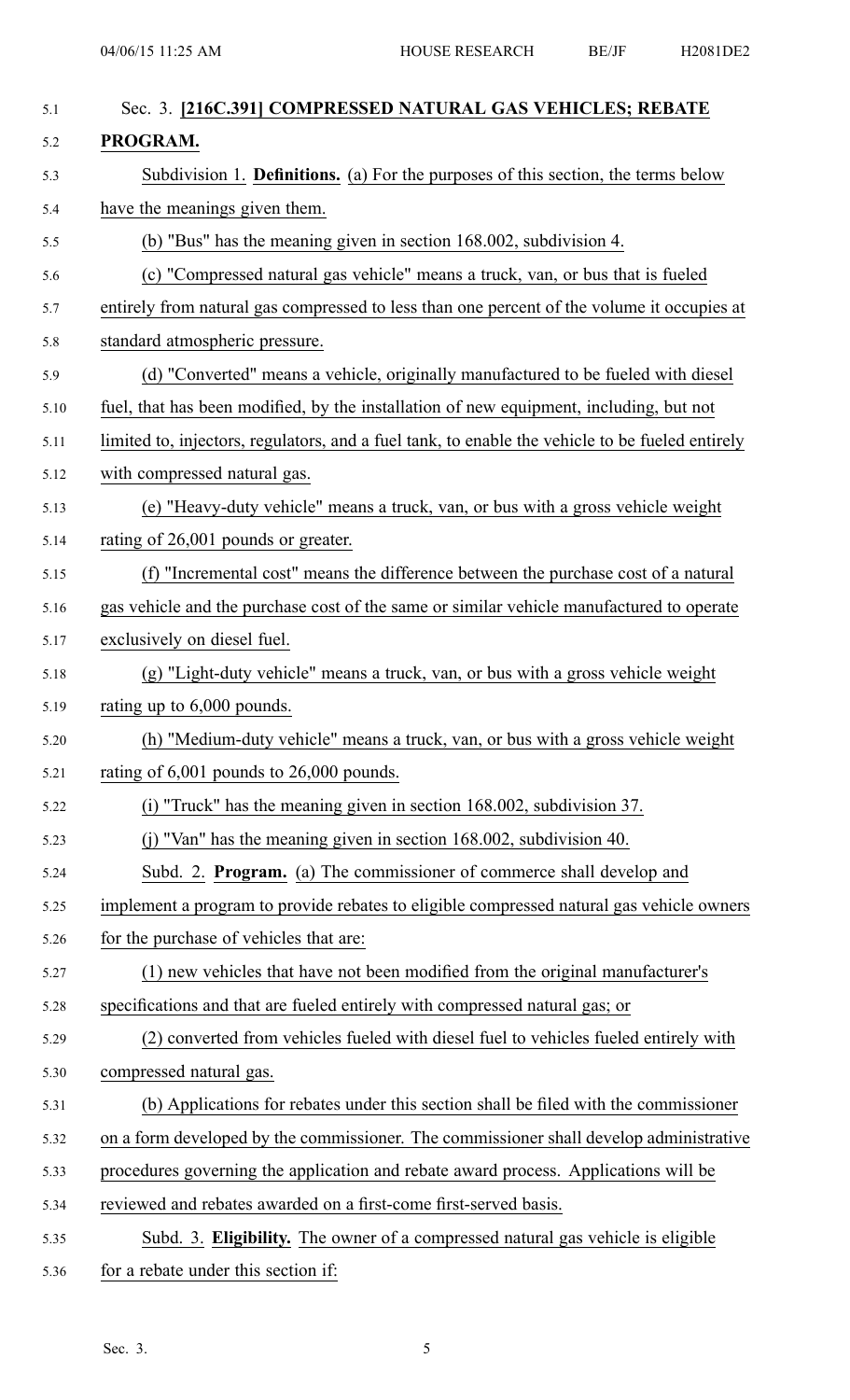| Sec. 3. [216C.391] COMPRESSED NATURAL GAS VEHICLES; REBATE                                      |
|-------------------------------------------------------------------------------------------------|
| PROGRAM.                                                                                        |
| Subdivision 1. <b>Definitions.</b> (a) For the purposes of this section, the terms below        |
| have the meanings given them.                                                                   |
| (b) "Bus" has the meaning given in section 168.002, subdivision 4.                              |
| (c) "Compressed natural gas vehicle" means a truck, van, or bus that is fueled                  |
| entirely from natural gas compressed to less than one percent of the volume it occupies at      |
| standard atmospheric pressure.                                                                  |
| (d) "Converted" means a vehicle, originally manufactured to be fueled with diesel               |
| fuel, that has been modified, by the installation of new equipment, including, but not          |
| limited to, injectors, regulators, and a fuel tank, to enable the vehicle to be fueled entirely |
| with compressed natural gas.                                                                    |
| (e) "Heavy-duty vehicle" means a truck, van, or bus with a gross vehicle weight                 |
| rating of 26,001 pounds or greater.                                                             |
| (f) "Incremental cost" means the difference between the purchase cost of a natural              |
| gas vehicle and the purchase cost of the same or similar vehicle manufactured to operate        |
| exclusively on diesel fuel.                                                                     |
| (g) "Light-duty vehicle" means a truck, van, or bus with a gross vehicle weight                 |
| rating up to $6,000$ pounds.                                                                    |
| (h) "Medium-duty vehicle" means a truck, van, or bus with a gross vehicle weight                |
| rating of $6,001$ pounds to $26,000$ pounds.                                                    |
| (i) "Truck" has the meaning given in section 168.002, subdivision 37.                           |
| (j) "Van" has the meaning given in section 168.002, subdivision 40.                             |
| Subd. 2. Program. (a) The commissioner of commerce shall develop and                            |
| implement a program to provide rebates to eligible compressed natural gas vehicle owners        |
| for the purchase of vehicles that are:                                                          |
| (1) new vehicles that have not been modified from the original manufacturer's                   |
| specifications and that are fueled entirely with compressed natural gas; or                     |
| (2) converted from vehicles fueled with diesel fuel to vehicles fueled entirely with            |
| compressed natural gas.                                                                         |
| (b) Applications for rebates under this section shall be filed with the commissioner            |
| on a form developed by the commissioner. The commissioner shall develop administrative          |
| procedures governing the application and rebate award process. Applications will be             |
| reviewed and rebates awarded on a first-come first-served basis.                                |
| Subd. 3. Eligibility. The owner of a compressed natural gas vehicle is eligible                 |
| for a rebate under this section if:                                                             |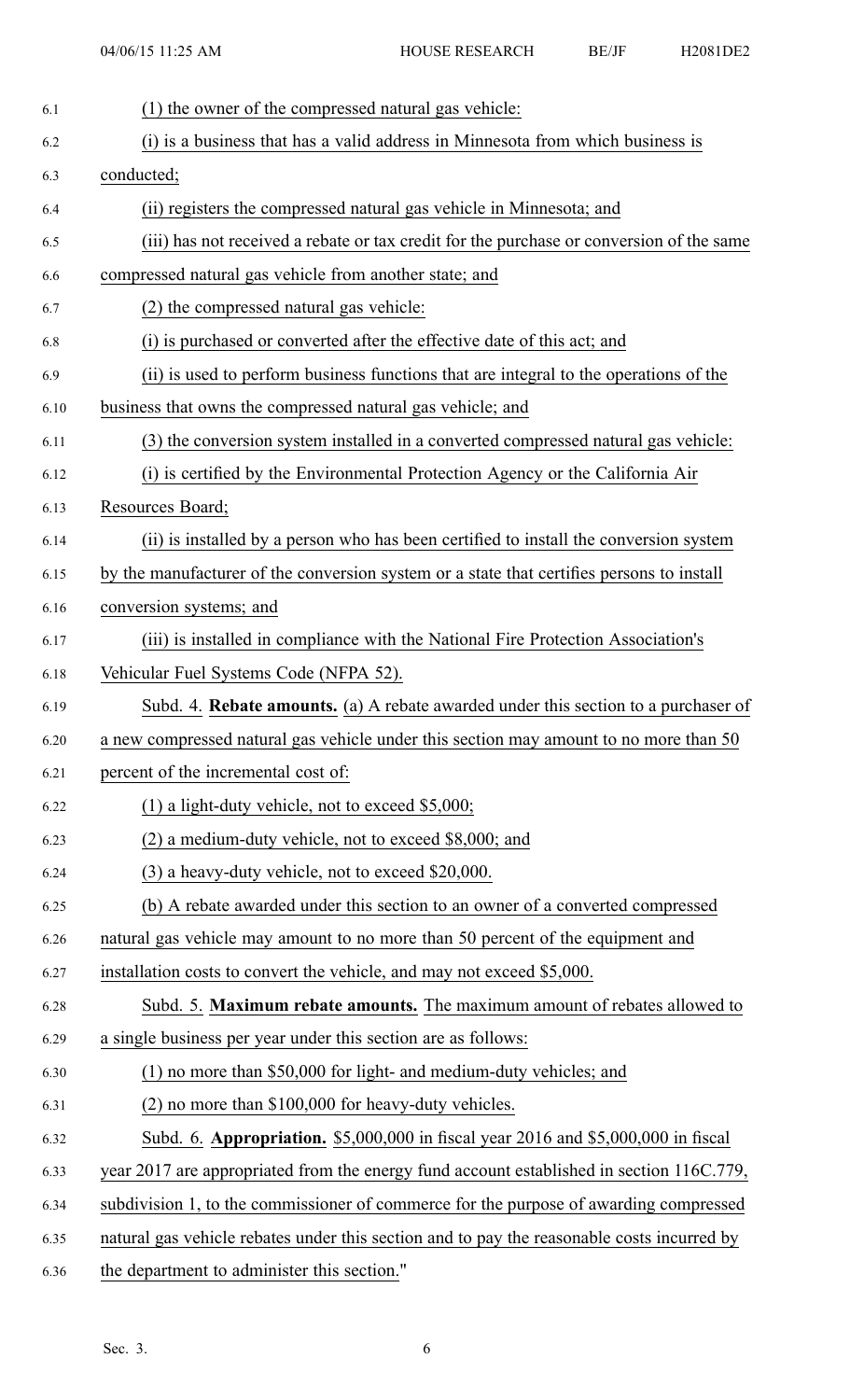| 6.1  | (1) the owner of the compressed natural gas vehicle:                                       |
|------|--------------------------------------------------------------------------------------------|
| 6.2  | (i) is a business that has a valid address in Minnesota from which business is             |
| 6.3  | conducted;                                                                                 |
| 6.4  | (ii) registers the compressed natural gas vehicle in Minnesota; and                        |
| 6.5  | (iii) has not received a rebate or tax credit for the purchase or conversion of the same   |
| 6.6  | compressed natural gas vehicle from another state; and                                     |
| 6.7  | (2) the compressed natural gas vehicle:                                                    |
| 6.8  | (i) is purchased or converted after the effective date of this act; and                    |
| 6.9  | (ii) is used to perform business functions that are integral to the operations of the      |
| 6.10 | business that owns the compressed natural gas vehicle; and                                 |
| 6.11 | (3) the conversion system installed in a converted compressed natural gas vehicle:         |
| 6.12 | (i) is certified by the Environmental Protection Agency or the California Air              |
| 6.13 | Resources Board;                                                                           |
| 6.14 | (ii) is installed by a person who has been certified to install the conversion system      |
| 6.15 | by the manufacturer of the conversion system or a state that certifies persons to install  |
| 6.16 | conversion systems; and                                                                    |
| 6.17 | (iii) is installed in compliance with the National Fire Protection Association's           |
| 6.18 | Vehicular Fuel Systems Code (NFPA 52).                                                     |
|      |                                                                                            |
| 6.19 | Subd. 4. Rebate amounts. (a) A rebate awarded under this section to a purchaser of         |
| 6.20 | a new compressed natural gas vehicle under this section may amount to no more than 50      |
| 6.21 | percent of the incremental cost of:                                                        |
| 6.22 | $(1)$ a light-duty vehicle, not to exceed \$5,000;                                         |
| 6.23 | (2) a medium-duty vehicle, not to exceed \$8,000; and                                      |
| 6.24 | (3) a heavy-duty vehicle, not to exceed \$20,000.                                          |
| 6.25 | (b) A rebate awarded under this section to an owner of a converted compressed              |
| 6.26 | natural gas vehicle may amount to no more than 50 percent of the equipment and             |
| 6.27 | installation costs to convert the vehicle, and may not exceed \$5,000.                     |
| 6.28 | Subd. 5. Maximum rebate amounts. The maximum amount of rebates allowed to                  |
| 6.29 | a single business per year under this section are as follows:                              |
| 6.30 | (1) no more than \$50,000 for light- and medium-duty vehicles; and                         |
| 6.31 | (2) no more than \$100,000 for heavy-duty vehicles.                                        |
| 6.32 | Subd. 6. Appropriation. \$5,000,000 in fiscal year 2016 and \$5,000,000 in fiscal          |
| 6.33 | year 2017 are appropriated from the energy fund account established in section 116C.779,   |
| 6.34 | subdivision 1, to the commissioner of commerce for the purpose of awarding compressed      |
| 6.35 | natural gas vehicle rebates under this section and to pay the reasonable costs incurred by |